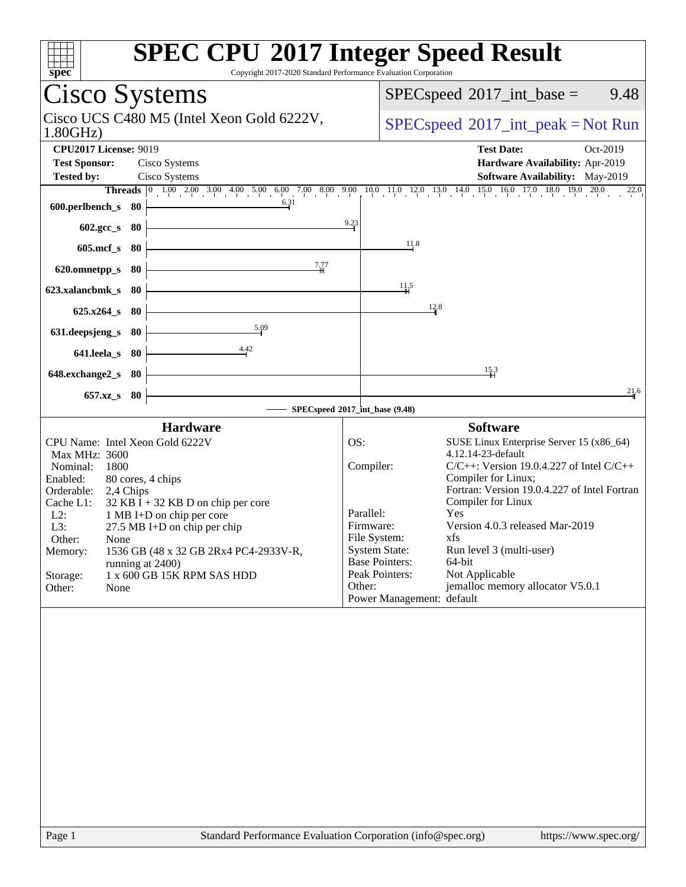| Spec                                                                                                                                                                                                                                                                                                                                                                                                                      | <b>SPEC CPU®2017 Integer Speed Result</b><br>Copyright 2017-2020 Standard Performance Evaluation Corporation                                                                                                                                                                                                                                                                                                                                                                                                                      |
|---------------------------------------------------------------------------------------------------------------------------------------------------------------------------------------------------------------------------------------------------------------------------------------------------------------------------------------------------------------------------------------------------------------------------|-----------------------------------------------------------------------------------------------------------------------------------------------------------------------------------------------------------------------------------------------------------------------------------------------------------------------------------------------------------------------------------------------------------------------------------------------------------------------------------------------------------------------------------|
| Cisco Systems                                                                                                                                                                                                                                                                                                                                                                                                             | 9.48<br>$SPEC speed^{\circ}2017\_int\_base =$                                                                                                                                                                                                                                                                                                                                                                                                                                                                                     |
| Cisco UCS C480 M5 (Intel Xeon Gold 6222V,<br>1.80GHz                                                                                                                                                                                                                                                                                                                                                                      | $SPEC speed^{\circ}2017\_int\_peak = Not Run$                                                                                                                                                                                                                                                                                                                                                                                                                                                                                     |
| <b>CPU2017 License: 9019</b><br><b>Test Sponsor:</b><br>Cisco Systems<br><b>Tested by:</b><br>Cisco Systems                                                                                                                                                                                                                                                                                                               | <b>Test Date:</b><br>Oct-2019<br>Hardware Availability: Apr-2019<br>Software Availability: May-2019<br><b>Threads</b> $\begin{bmatrix} 0 & 1.00 & 2.00 & 3.00 & 4.00 & 5.00 & 6.00 & 7.00 & 8.00 & 9.00 & 1.00 & 1.1 & 1.2 & 1.3 & 1.4 & 1.5 & 16.0 & 17.0 & 18.0 & 19.0 & 20.0 \end{bmatrix}$<br>22.0                                                                                                                                                                                                                            |
| 6.31<br>600.perlbench_s 80<br>- 80                                                                                                                                                                                                                                                                                                                                                                                        | 9.23                                                                                                                                                                                                                                                                                                                                                                                                                                                                                                                              |
| $602 \text{.} \text{gcc}\_\text{s}$<br>$605$ .mcf_s<br>- 80                                                                                                                                                                                                                                                                                                                                                               | 11.8                                                                                                                                                                                                                                                                                                                                                                                                                                                                                                                              |
| 7,77<br>80<br>620.omnetpp_s                                                                                                                                                                                                                                                                                                                                                                                               |                                                                                                                                                                                                                                                                                                                                                                                                                                                                                                                                   |
| 623.xalancbmk s<br>-80                                                                                                                                                                                                                                                                                                                                                                                                    | 11.5                                                                                                                                                                                                                                                                                                                                                                                                                                                                                                                              |
| $625.x264_s$<br>80<br>5.09<br>631.deepsjeng_s<br>80                                                                                                                                                                                                                                                                                                                                                                       | 12.8                                                                                                                                                                                                                                                                                                                                                                                                                                                                                                                              |
| 4.42<br>641.leela s<br>80                                                                                                                                                                                                                                                                                                                                                                                                 |                                                                                                                                                                                                                                                                                                                                                                                                                                                                                                                                   |
| 648.exchange2_s<br>-80                                                                                                                                                                                                                                                                                                                                                                                                    | 15.3                                                                                                                                                                                                                                                                                                                                                                                                                                                                                                                              |
| $657.xz$ <sub>_S</sub><br>- 80                                                                                                                                                                                                                                                                                                                                                                                            | 21.6<br>SPECspeed®2017_int_base (9.48)                                                                                                                                                                                                                                                                                                                                                                                                                                                                                            |
| <b>Hardware</b>                                                                                                                                                                                                                                                                                                                                                                                                           | <b>Software</b>                                                                                                                                                                                                                                                                                                                                                                                                                                                                                                                   |
| CPU Name: Intel Xeon Gold 6222V<br>Max MHz: 3600<br>Nominal:<br>1800<br>Enabled:<br>80 cores, 4 chips<br>Orderable:<br>2,4 Chips<br>$32$ KB I + 32 KB D on chip per core<br>Cache L1:<br>$L2$ :<br>1 MB I+D on chip per core<br>27.5 MB I+D on chip per chip<br>L3:<br>Other:<br>None<br>1536 GB (48 x 32 GB 2Rx4 PC4-2933V-R,<br>Memory:<br>running at 2400)<br>1 x 600 GB 15K RPM SAS HDD<br>Storage:<br>Other:<br>None | OS:<br>SUSE Linux Enterprise Server 15 (x86_64)<br>4.12.14-23-default<br>Compiler:<br>$C/C++$ : Version 19.0.4.227 of Intel $C/C++$<br>Compiler for Linux;<br>Fortran: Version 19.0.4.227 of Intel Fortran<br>Compiler for Linux<br>Parallel:<br>Yes<br>Version 4.0.3 released Mar-2019<br>Firmware:<br>File System:<br>xfs<br><b>System State:</b><br>Run level 3 (multi-user)<br><b>Base Pointers:</b><br>64-bit<br>Peak Pointers:<br>Not Applicable<br>jemalloc memory allocator V5.0.1<br>Other:<br>Power Management: default |
| $D_{0.02}$ 1                                                                                                                                                                                                                                                                                                                                                                                                              | Standard Darformange Evaluation Composition (info@gnes.org)<br>$l$ <sub>t</sub> $t$ <sub>tn</sub> $\alpha$ , $l$ / $\tau$                                                                                                                                                                                                                                                                                                                                                                                                         |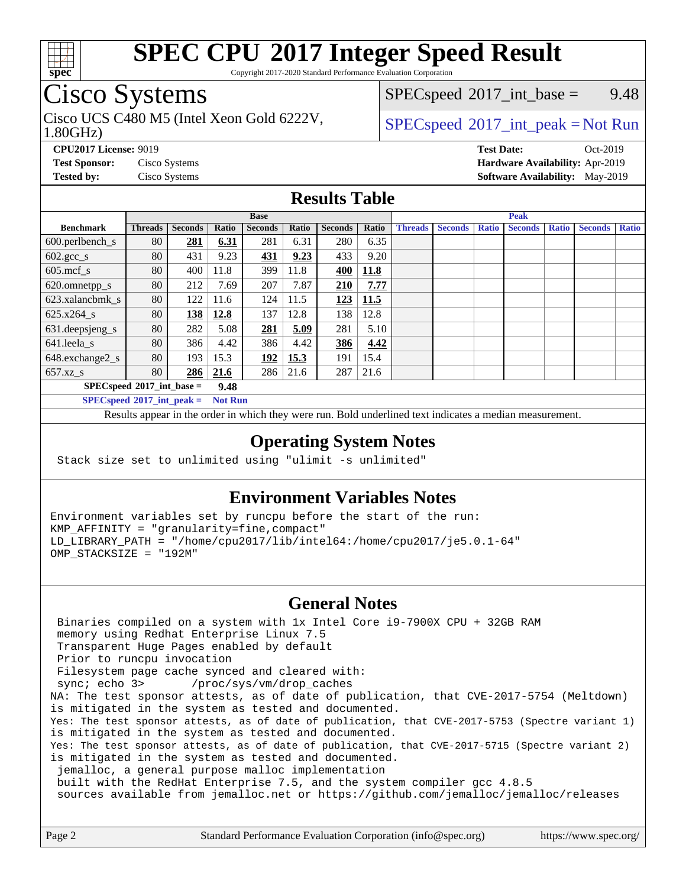

Copyright 2017-2020 Standard Performance Evaluation Corporation

## Cisco Systems

Cisco UCS C480 M5 (Intel Xeon Gold 6222V,  $SPECspeed^{\circ}2017\_int\_peak = Not Run$  $SPECspeed^{\circ}2017\_int\_peak = Not Run$ 

 $SPECspeed^{\circ}2017\_int\_base =$  $SPECspeed^{\circ}2017\_int\_base =$  9.48

#### 1.80GHz)

**[CPU2017 License:](http://www.spec.org/auto/cpu2017/Docs/result-fields.html#CPU2017License)** 9019 **[Test Date:](http://www.spec.org/auto/cpu2017/Docs/result-fields.html#TestDate)** Oct-2019

**[Test Sponsor:](http://www.spec.org/auto/cpu2017/Docs/result-fields.html#TestSponsor)** Cisco Systems **[Hardware Availability:](http://www.spec.org/auto/cpu2017/Docs/result-fields.html#HardwareAvailability)** Apr-2019 **[Tested by:](http://www.spec.org/auto/cpu2017/Docs/result-fields.html#Testedby)** Cisco Systems **[Software Availability:](http://www.spec.org/auto/cpu2017/Docs/result-fields.html#SoftwareAvailability)** May-2019

### **[Results Table](http://www.spec.org/auto/cpu2017/Docs/result-fields.html#ResultsTable)**

|                                     | <b>Base</b>    |                |       |                |       | <b>Peak</b>    |       |                |                |              |                |              |                |              |
|-------------------------------------|----------------|----------------|-------|----------------|-------|----------------|-------|----------------|----------------|--------------|----------------|--------------|----------------|--------------|
| <b>Benchmark</b>                    | <b>Threads</b> | <b>Seconds</b> | Ratio | <b>Seconds</b> | Ratio | <b>Seconds</b> | Ratio | <b>Threads</b> | <b>Seconds</b> | <b>Ratio</b> | <b>Seconds</b> | <b>Ratio</b> | <b>Seconds</b> | <b>Ratio</b> |
| $600.$ perlbench $\mathsf{S}$       | 80             | 281            | 6.31  | 281            | 6.31  | 280            | 6.35  |                |                |              |                |              |                |              |
| $602.\text{gcc}\_\text{s}$          | 80             | 431            | 9.23  | <u>431</u>     | 9.23  | 433            | 9.20  |                |                |              |                |              |                |              |
| $605$ .mcf s                        | 80             | 400            | 11.8  | 399            | 11.8  | 400            | 11.8  |                |                |              |                |              |                |              |
| 620.omnetpp_s                       | 80             | 212            | 7.69  | 207            | 7.87  | 210            | 7.77  |                |                |              |                |              |                |              |
| 623.xalancbmk s                     | 80             | 122            | 11.6  | 124            | 11.5  | 123            | 11.5  |                |                |              |                |              |                |              |
| $625.x264_s$                        | 80             | 138            | 12.8  | 137            | 12.8  | 138            | 12.8  |                |                |              |                |              |                |              |
| 631.deepsjeng_s                     | 80             | 282            | 5.08  | 281            | 5.09  | 281            | 5.10  |                |                |              |                |              |                |              |
| 641.leela s                         | 80             | 386            | 4.42  | 386            | 4.42  | 386            | 4.42  |                |                |              |                |              |                |              |
| 648.exchange2_s                     | 80             | 193            | 15.3  | 192            | 15.3  | 191            | 15.4  |                |                |              |                |              |                |              |
| $657.xz$ s                          | 80             | 286            | 21.6  | 286            | 21.6  | 287            | 21.6  |                |                |              |                |              |                |              |
| $SPECspeed*2017$ int base =<br>9.48 |                |                |       |                |       |                |       |                |                |              |                |              |                |              |

**[SPECspeed](http://www.spec.org/auto/cpu2017/Docs/result-fields.html#SPECspeed2017intpeak)[2017\\_int\\_peak =](http://www.spec.org/auto/cpu2017/Docs/result-fields.html#SPECspeed2017intpeak) Not Run**

Results appear in the [order in which they were run.](http://www.spec.org/auto/cpu2017/Docs/result-fields.html#RunOrder) Bold underlined text [indicates a median measurement.](http://www.spec.org/auto/cpu2017/Docs/result-fields.html#Median)

### **[Operating System Notes](http://www.spec.org/auto/cpu2017/Docs/result-fields.html#OperatingSystemNotes)**

Stack size set to unlimited using "ulimit -s unlimited"

### **[Environment Variables Notes](http://www.spec.org/auto/cpu2017/Docs/result-fields.html#EnvironmentVariablesNotes)**

Environment variables set by runcpu before the start of the run: KMP\_AFFINITY = "granularity=fine,compact" LD\_LIBRARY\_PATH = "/home/cpu2017/lib/intel64:/home/cpu2017/je5.0.1-64" OMP\_STACKSIZE = "192M"

### **[General Notes](http://www.spec.org/auto/cpu2017/Docs/result-fields.html#GeneralNotes)**

 Binaries compiled on a system with 1x Intel Core i9-7900X CPU + 32GB RAM memory using Redhat Enterprise Linux 7.5 Transparent Huge Pages enabled by default Prior to runcpu invocation Filesystem page cache synced and cleared with: sync; echo 3> /proc/sys/vm/drop\_caches NA: The test sponsor attests, as of date of publication, that CVE-2017-5754 (Meltdown) is mitigated in the system as tested and documented. Yes: The test sponsor attests, as of date of publication, that CVE-2017-5753 (Spectre variant 1) is mitigated in the system as tested and documented. Yes: The test sponsor attests, as of date of publication, that CVE-2017-5715 (Spectre variant 2) is mitigated in the system as tested and documented. jemalloc, a general purpose malloc implementation built with the RedHat Enterprise 7.5, and the system compiler gcc 4.8.5 sources available from jemalloc.net or<https://github.com/jemalloc/jemalloc/releases>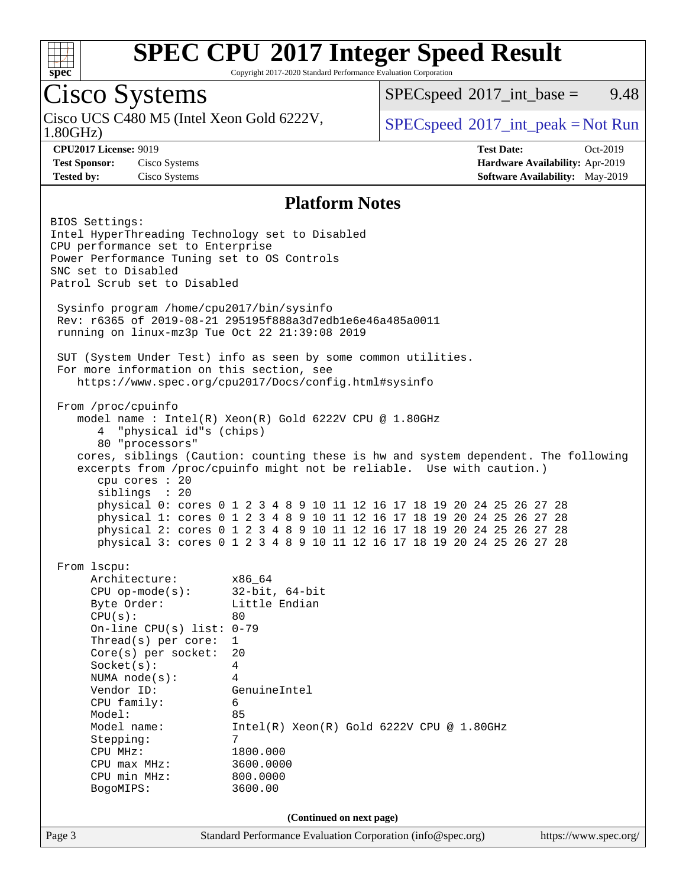

Copyright 2017-2020 Standard Performance Evaluation Corporation

### Cisco Systems

1.80GHz) Cisco UCS C480 M5 (Intel Xeon Gold 6222V,  $SPECspeed^{\circ}2017\_int\_peak = Not Run$  $SPECspeed^{\circ}2017\_int\_peak = Not Run$ 

 $SPECspeed^{\circ}2017\_int\_base =$  $SPECspeed^{\circ}2017\_int\_base =$  9.48

**[CPU2017 License:](http://www.spec.org/auto/cpu2017/Docs/result-fields.html#CPU2017License)** 9019 **[Test Date:](http://www.spec.org/auto/cpu2017/Docs/result-fields.html#TestDate)** Oct-2019 **[Test Sponsor:](http://www.spec.org/auto/cpu2017/Docs/result-fields.html#TestSponsor)** Cisco Systems **[Hardware Availability:](http://www.spec.org/auto/cpu2017/Docs/result-fields.html#HardwareAvailability)** Apr-2019 **[Tested by:](http://www.spec.org/auto/cpu2017/Docs/result-fields.html#Testedby)** Cisco Systems **[Software Availability:](http://www.spec.org/auto/cpu2017/Docs/result-fields.html#SoftwareAvailability)** May-2019

#### **[Platform Notes](http://www.spec.org/auto/cpu2017/Docs/result-fields.html#PlatformNotes)**

Page 3 Standard Performance Evaluation Corporation [\(info@spec.org\)](mailto:info@spec.org) <https://www.spec.org/> BIOS Settings: Intel HyperThreading Technology set to Disabled CPU performance set to Enterprise Power Performance Tuning set to OS Controls SNC set to Disabled Patrol Scrub set to Disabled Sysinfo program /home/cpu2017/bin/sysinfo Rev: r6365 of 2019-08-21 295195f888a3d7edb1e6e46a485a0011 running on linux-mz3p Tue Oct 22 21:39:08 2019 SUT (System Under Test) info as seen by some common utilities. For more information on this section, see <https://www.spec.org/cpu2017/Docs/config.html#sysinfo> From /proc/cpuinfo model name : Intel(R) Xeon(R) Gold 6222V CPU @ 1.80GHz 4 "physical id"s (chips) 80 "processors" cores, siblings (Caution: counting these is hw and system dependent. The following excerpts from /proc/cpuinfo might not be reliable. Use with caution.) cpu cores : 20 siblings : 20 physical 0: cores 0 1 2 3 4 8 9 10 11 12 16 17 18 19 20 24 25 26 27 28 physical 1: cores 0 1 2 3 4 8 9 10 11 12 16 17 18 19 20 24 25 26 27 28 physical 2: cores 0 1 2 3 4 8 9 10 11 12 16 17 18 19 20 24 25 26 27 28 physical 3: cores 0 1 2 3 4 8 9 10 11 12 16 17 18 19 20 24 25 26 27 28 From lscpu: Architecture: x86\_64 CPU op-mode(s): 32-bit, 64-bit Byte Order: Little Endian  $CPU(s):$  80 On-line CPU(s) list: 0-79 Thread(s) per core: 1 Core(s) per socket: 20 Socket(s): 4 NUMA node(s): 4 Vendor ID: GenuineIntel CPU family: 6 Model: 85 Model name: Intel(R) Xeon(R) Gold 6222V CPU @ 1.80GHz Stepping: 7 CPU MHz: 1800.000 CPU max MHz: 3600.0000 CPU min MHz: 800.0000 BogoMIPS: 3600.00 **(Continued on next page)**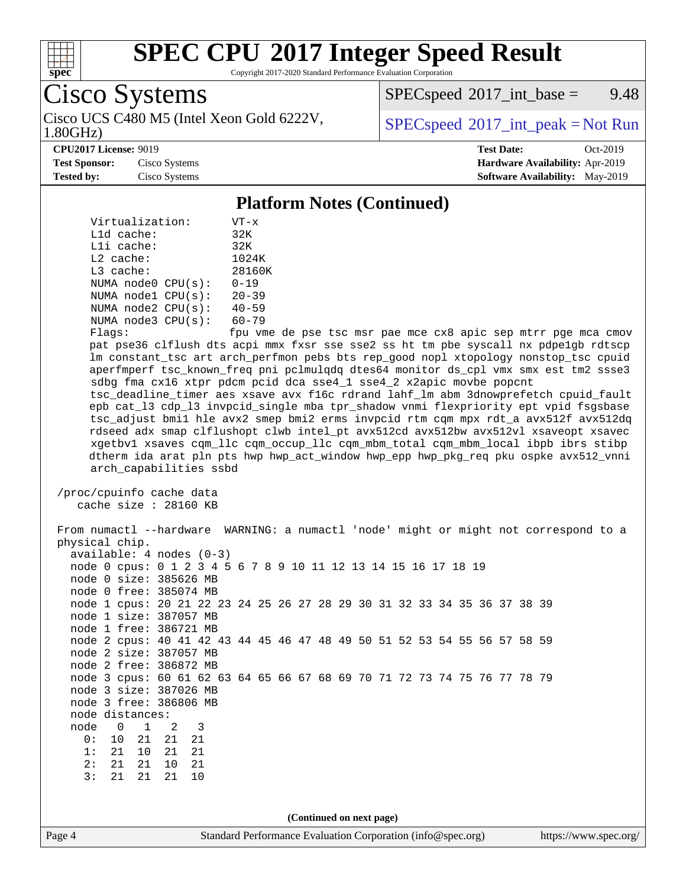

Copyright 2017-2020 Standard Performance Evaluation Corporation

## Cisco Systems

1.80GHz) Cisco UCS C480 M5 (Intel Xeon Gold 6222V,  $SPECspeed^{\circ}2017\_int\_peak = Not Run$  $SPECspeed^{\circ}2017\_int\_peak = Not Run$ 

 $SPEC speed^{\circ}2017\_int\_base =$  9.48

#### **[CPU2017 License:](http://www.spec.org/auto/cpu2017/Docs/result-fields.html#CPU2017License)** 9019 **[Test Date:](http://www.spec.org/auto/cpu2017/Docs/result-fields.html#TestDate)** Oct-2019

**[Test Sponsor:](http://www.spec.org/auto/cpu2017/Docs/result-fields.html#TestSponsor)** Cisco Systems **[Hardware Availability:](http://www.spec.org/auto/cpu2017/Docs/result-fields.html#HardwareAvailability)** Apr-2019 **[Tested by:](http://www.spec.org/auto/cpu2017/Docs/result-fields.html#Testedby)** Cisco Systems **[Software Availability:](http://www.spec.org/auto/cpu2017/Docs/result-fields.html#SoftwareAvailability)** May-2019

#### **[Platform Notes \(Continued\)](http://www.spec.org/auto/cpu2017/Docs/result-fields.html#PlatformNotes)**

| Virtualization:        | $VT - x$                   |  |  |  |
|------------------------|----------------------------|--|--|--|
| $L1d$ cache:           | 32K                        |  |  |  |
| Lli cache:             | 32K                        |  |  |  |
| $L2$ cache:            | 1024K                      |  |  |  |
| $L3$ cache:            | 28160K                     |  |  |  |
| NUMA $node0$ $CPU(s):$ | $0 - 19$                   |  |  |  |
| NUMA node1 CPU(s):     | $20 - 39$                  |  |  |  |
| NUMA node2 CPU(s):     | $40 - 59$                  |  |  |  |
| NUMA node3 CPU(s):     | $60 - 79$                  |  |  |  |
| $F1$ acc $\cdot$       | $f_{\text{min}}$ $\tau$ me |  |  |  |

Flags: fpu vme de pse tsc msr pae mce cx8 apic sep mtrr pge mca cmov pat pse36 clflush dts acpi mmx fxsr sse sse2 ss ht tm pbe syscall nx pdpe1gb rdtscp lm constant\_tsc art arch\_perfmon pebs bts rep\_good nopl xtopology nonstop\_tsc cpuid aperfmperf tsc\_known\_freq pni pclmulqdq dtes64 monitor ds\_cpl vmx smx est tm2 ssse3 sdbg fma cx16 xtpr pdcm pcid dca sse4\_1 sse4\_2 x2apic movbe popcnt tsc\_deadline\_timer aes xsave avx f16c rdrand lahf\_lm abm 3dnowprefetch cpuid\_fault epb cat\_l3 cdp\_l3 invpcid\_single mba tpr\_shadow vnmi flexpriority ept vpid fsgsbase

 tsc\_adjust bmi1 hle avx2 smep bmi2 erms invpcid rtm cqm mpx rdt\_a avx512f avx512dq rdseed adx smap clflushopt clwb intel\_pt avx512cd avx512bw avx512vl xsaveopt xsavec xgetbv1 xsaves cqm\_llc cqm\_occup\_llc cqm\_mbm\_total cqm\_mbm\_local ibpb ibrs stibp dtherm ida arat pln pts hwp hwp\_act\_window hwp\_epp hwp\_pkg\_req pku ospke avx512\_vnni arch\_capabilities ssbd

```
 /proc/cpuinfo cache data
cache size : 28160 KB
```
 From numactl --hardware WARNING: a numactl 'node' might or might not correspond to a physical chip. available: 4 nodes (0-3) node 0 cpus: 0 1 2 3 4 5 6 7 8 9 10 11 12 13 14 15 16 17 18 19 node 0 size: 385626 MB node 0 free: 385074 MB node 1 cpus: 20 21 22 23 24 25 26 27 28 29 30 31 32 33 34 35 36 37 38 39 node 1 size: 387057 MB node 1 free: 386721 MB node 2 cpus: 40 41 42 43 44 45 46 47 48 49 50 51 52 53 54 55 56 57 58 59 node 2 size: 387057 MB node 2 free: 386872 MB node 3 cpus: 60 61 62 63 64 65 66 67 68 69 70 71 72 73 74 75 76 77 78 79 node 3 size: 387026 MB node 3 free: 386806 MB node distances: node 0 1 2 3 0: 10 21 21 21 1: 21 10 21 21 2: 21 21 10 21 3: 21 21 21 10 **(Continued on next page)**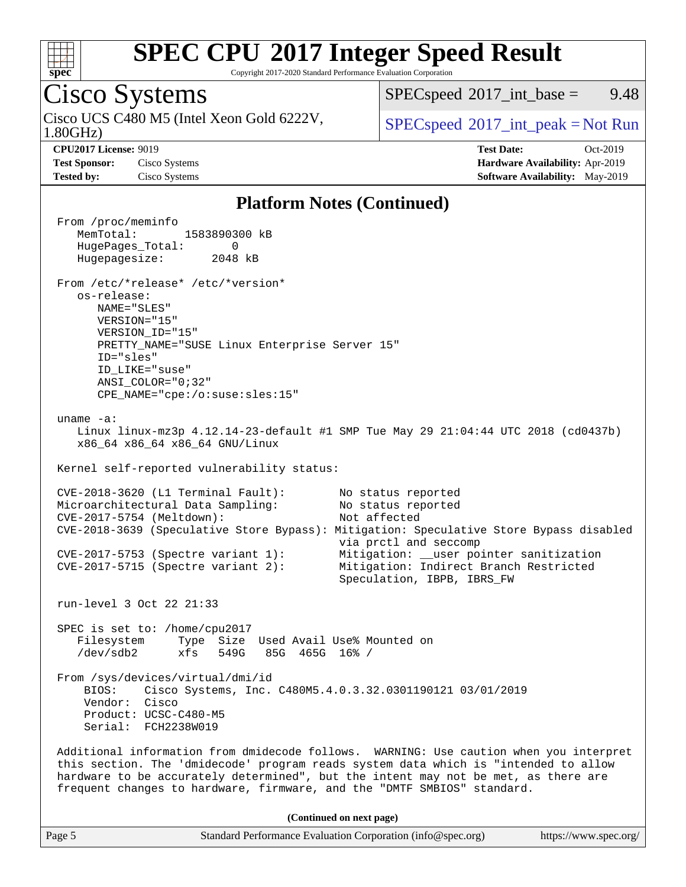

Copyright 2017-2020 Standard Performance Evaluation Corporation

### Cisco Systems

1.80GHz) Cisco UCS C480 M5 (Intel Xeon Gold 6222V,  $SPECspeed^{\circ}2017\_int\_peak = Not Run$  $SPECspeed^{\circ}2017\_int\_peak = Not Run$ 

 $SPECspeed^{\circ}2017\_int\_base =$  $SPECspeed^{\circ}2017\_int\_base =$  9.48

**[Test Sponsor:](http://www.spec.org/auto/cpu2017/Docs/result-fields.html#TestSponsor)** Cisco Systems **[Hardware Availability:](http://www.spec.org/auto/cpu2017/Docs/result-fields.html#HardwareAvailability)** Apr-2019 **[Tested by:](http://www.spec.org/auto/cpu2017/Docs/result-fields.html#Testedby)** Cisco Systems **[Software Availability:](http://www.spec.org/auto/cpu2017/Docs/result-fields.html#SoftwareAvailability)** May-2019

**[CPU2017 License:](http://www.spec.org/auto/cpu2017/Docs/result-fields.html#CPU2017License)** 9019 **[Test Date:](http://www.spec.org/auto/cpu2017/Docs/result-fields.html#TestDate)** Oct-2019

#### **[Platform Notes \(Continued\)](http://www.spec.org/auto/cpu2017/Docs/result-fields.html#PlatformNotes)**

 From /proc/meminfo MemTotal: 1583890300 kB HugePages\_Total: 0 Hugepagesize: 2048 kB From /etc/\*release\* /etc/\*version\* os-release: NAME="SLES" VERSION="15" VERSION\_ID="15" PRETTY\_NAME="SUSE Linux Enterprise Server 15" ID="sles" ID\_LIKE="suse" ANSI\_COLOR="0;32" CPE\_NAME="cpe:/o:suse:sles:15" uname -a: Linux linux-mz3p 4.12.14-23-default #1 SMP Tue May 29 21:04:44 UTC 2018 (cd0437b) x86\_64 x86\_64 x86\_64 GNU/Linux Kernel self-reported vulnerability status: CVE-2018-3620 (L1 Terminal Fault): No status reported Microarchitectural Data Sampling: No status reported CVE-2017-5754 (Meltdown): Not affected CVE-2018-3639 (Speculative Store Bypass): Mitigation: Speculative Store Bypass disabled via prctl and seccomp CVE-2017-5753 (Spectre variant 1): Mitigation: \_\_user pointer sanitization CVE-2017-5715 (Spectre variant 2): Mitigation: Indirect Branch Restricted Speculation, IBPB, IBRS\_FW run-level 3 Oct 22 21:33 SPEC is set to: /home/cpu2017 Filesystem Type Size Used Avail Use% Mounted on /dev/sdb2 xfs 549G 85G 465G 16% / From /sys/devices/virtual/dmi/id BIOS: Cisco Systems, Inc. C480M5.4.0.3.32.0301190121 03/01/2019 Vendor: Cisco Product: UCSC-C480-M5 Serial: FCH2238W019 Additional information from dmidecode follows. WARNING: Use caution when you interpret this section. The 'dmidecode' program reads system data which is "intended to allow hardware to be accurately determined", but the intent may not be met, as there are frequent changes to hardware, firmware, and the "DMTF SMBIOS" standard. **(Continued on next page)**

Page 5 Standard Performance Evaluation Corporation [\(info@spec.org\)](mailto:info@spec.org) <https://www.spec.org/>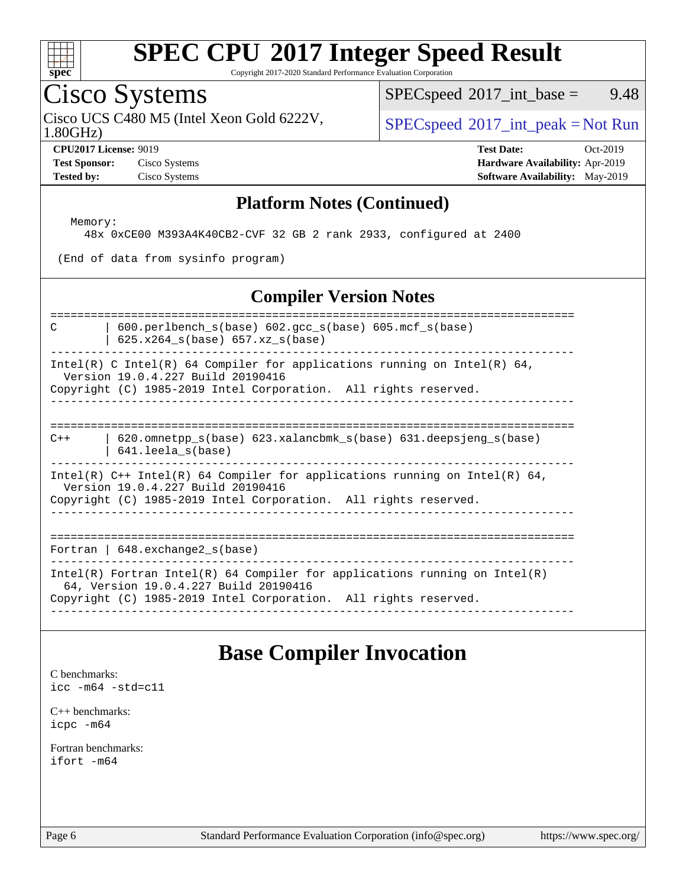

Copyright 2017-2020 Standard Performance Evaluation Corporation

### Cisco Systems

Cisco UCS C480 M5 (Intel Xeon Gold 6222V,  $SPECspeed^{\circ}2017\_int\_peak = Not Run$  $SPECspeed^{\circ}2017\_int\_peak = Not Run$ 

 $SPECspeed^{\circ}2017\_int\_base =$  $SPECspeed^{\circ}2017\_int\_base =$  9.48

1.80GHz)

**[Test Sponsor:](http://www.spec.org/auto/cpu2017/Docs/result-fields.html#TestSponsor)** Cisco Systems **[Hardware Availability:](http://www.spec.org/auto/cpu2017/Docs/result-fields.html#HardwareAvailability)** Apr-2019 **[Tested by:](http://www.spec.org/auto/cpu2017/Docs/result-fields.html#Testedby)** Cisco Systems **[Software Availability:](http://www.spec.org/auto/cpu2017/Docs/result-fields.html#SoftwareAvailability)** May-2019

**[CPU2017 License:](http://www.spec.org/auto/cpu2017/Docs/result-fields.html#CPU2017License)** 9019 **[Test Date:](http://www.spec.org/auto/cpu2017/Docs/result-fields.html#TestDate)** Oct-2019

#### **[Platform Notes \(Continued\)](http://www.spec.org/auto/cpu2017/Docs/result-fields.html#PlatformNotes)**

Memory:

48x 0xCE00 M393A4K40CB2-CVF 32 GB 2 rank 2933, configured at 2400

(End of data from sysinfo program)

#### **[Compiler Version Notes](http://www.spec.org/auto/cpu2017/Docs/result-fields.html#CompilerVersionNotes)**

============================================================================== C | 600.perlbench\_s(base) 602.gcc\_s(base) 605.mcf\_s(base)  $\vert$  625.x264 s(base) 657.xz s(base) ------------------------------------------------------------------------------ Intel(R) C Intel(R) 64 Compiler for applications running on Intel(R) 64, Version 19.0.4.227 Build 20190416 Copyright (C) 1985-2019 Intel Corporation. All rights reserved. ------------------------------------------------------------------------------ ============================================================================== C++ | 620.omnetpp\_s(base) 623.xalancbmk\_s(base) 631.deepsjeng\_s(base) | 641.leela\_s(base) ------------------------------------------------------------------------------ Intel(R) C++ Intel(R) 64 Compiler for applications running on Intel(R) 64, Version 19.0.4.227 Build 20190416 Copyright (C) 1985-2019 Intel Corporation. All rights reserved. ------------------------------------------------------------------------------ ============================================================================== Fortran | 648.exchange2\_s(base)

------------------------------------------------------------------------------ Intel(R) Fortran Intel(R) 64 Compiler for applications running on Intel(R) 64, Version 19.0.4.227 Build 20190416 Copyright (C) 1985-2019 Intel Corporation. All rights reserved. ------------------------------------------------------------------------------

### **[Base Compiler Invocation](http://www.spec.org/auto/cpu2017/Docs/result-fields.html#BaseCompilerInvocation)**

[C benchmarks](http://www.spec.org/auto/cpu2017/Docs/result-fields.html#Cbenchmarks): [icc -m64 -std=c11](http://www.spec.org/cpu2017/results/res2019q4/cpu2017-20191029-19425.flags.html#user_CCbase_intel_icc_64bit_c11_33ee0cdaae7deeeab2a9725423ba97205ce30f63b9926c2519791662299b76a0318f32ddfffdc46587804de3178b4f9328c46fa7c2b0cd779d7a61945c91cd35)

[C++ benchmarks:](http://www.spec.org/auto/cpu2017/Docs/result-fields.html#CXXbenchmarks) [icpc -m64](http://www.spec.org/cpu2017/results/res2019q4/cpu2017-20191029-19425.flags.html#user_CXXbase_intel_icpc_64bit_4ecb2543ae3f1412ef961e0650ca070fec7b7afdcd6ed48761b84423119d1bf6bdf5cad15b44d48e7256388bc77273b966e5eb805aefd121eb22e9299b2ec9d9)

[Fortran benchmarks](http://www.spec.org/auto/cpu2017/Docs/result-fields.html#Fortranbenchmarks): [ifort -m64](http://www.spec.org/cpu2017/results/res2019q4/cpu2017-20191029-19425.flags.html#user_FCbase_intel_ifort_64bit_24f2bb282fbaeffd6157abe4f878425411749daecae9a33200eee2bee2fe76f3b89351d69a8130dd5949958ce389cf37ff59a95e7a40d588e8d3a57e0c3fd751)